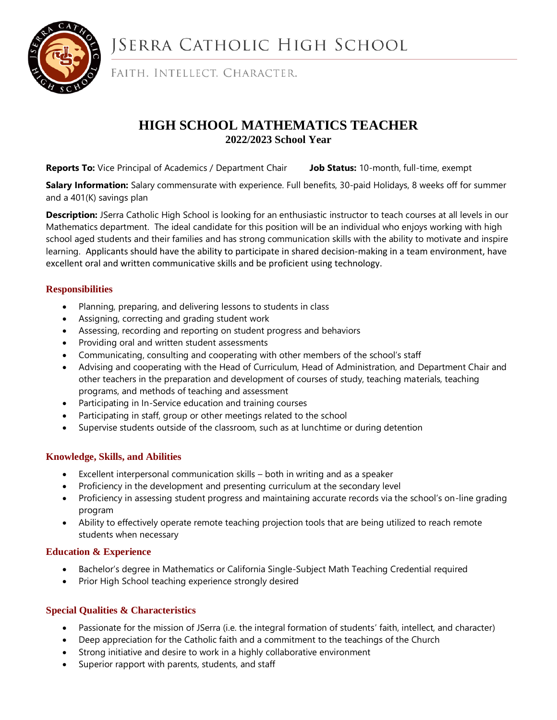**JSERRA CATHOLIC HIGH SCHOOL** 



FAITH. INTELLECT. CHARACTER.

# **HIGH SCHOOL MATHEMATICS TEACHER 2022/2023 School Year**

**Reports To:** Vice Principal of Academics / Department Chair **Job Status:** 10-month, full-time, exempt

**Salary Information:** Salary commensurate with experience. Full benefits, 30-paid Holidays, 8 weeks off for summer and a 401(K) savings plan

**Description:** JSerra Catholic High School is looking for an enthusiastic instructor to teach courses at all levels in our Mathematics department. The ideal candidate for this position will be an individual who enjoys working with high school aged students and their families and has strong communication skills with the ability to motivate and inspire learning. Applicants should have the ability to participate in shared decision-making in a team environment, have excellent oral and written communicative skills and be proficient using technology.

## **Responsibilities**

- Planning, preparing, and delivering lessons to students in class
- Assigning, correcting and grading student work
- Assessing, recording and reporting on student progress and behaviors
- Providing oral and written student assessments
- Communicating, consulting and cooperating with other members of the school's staff
- Advising and cooperating with the Head of Curriculum, Head of Administration, and Department Chair and other teachers in the preparation and development of courses of study, teaching materials, teaching programs, and methods of teaching and assessment
- Participating in In-Service education and training courses
- Participating in staff, group or other meetings related to the school
- Supervise students outside of the classroom, such as at lunchtime or during detention

## **Knowledge, Skills, and Abilities**

- Excellent interpersonal communication skills both in writing and as a speaker
- Proficiency in the development and presenting curriculum at the secondary level
- Proficiency in assessing student progress and maintaining accurate records via the school's on-line grading program
- Ability to effectively operate remote teaching projection tools that are being utilized to reach remote students when necessary

#### **Education & Experience**

- Bachelor's degree in Mathematics or California Single-Subject Math Teaching Credential required
- Prior High School teaching experience strongly desired

## **Special Qualities & Characteristics**

- Passionate for the mission of JSerra (i.e. the integral formation of students' faith, intellect, and character)
- Deep appreciation for the Catholic faith and a commitment to the teachings of the Church
- Strong initiative and desire to work in a highly collaborative environment
- Superior rapport with parents, students, and staff